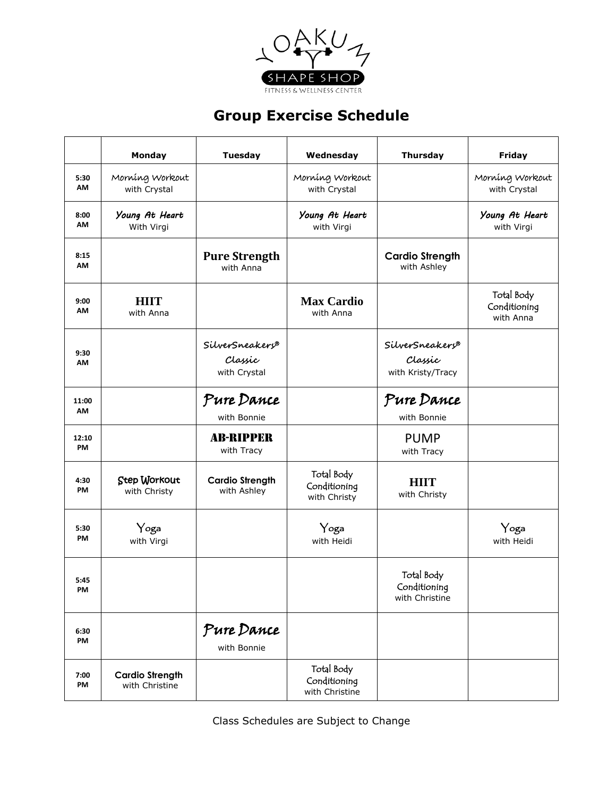

## **Group Exercise Schedule**

|                    | Monday                                   | <b>Tuesday</b>                             | Wednesday                                    | <b>Thursday</b>                                 | <b>Friday</b>                           |
|--------------------|------------------------------------------|--------------------------------------------|----------------------------------------------|-------------------------------------------------|-----------------------------------------|
| 5:30<br>AM         | Morning Workout<br>with Crystal          |                                            | Morning Workout<br>with Crystal              |                                                 | Morning Workout<br>with Crystal         |
| 8:00<br>AM         | Young At Heart<br>With Virgi             |                                            | Young At Heart<br>with Virgi                 |                                                 | Young At Heart<br>with Virgi            |
| 8:15<br>AM         |                                          | <b>Pure Strength</b><br>with Anna          |                                              | <b>Cardio Strength</b><br>with Ashley           |                                         |
| 9:00<br>AM         | <b>HIIT</b><br>with Anna                 |                                            | <b>Max Cardio</b><br>with Anna               |                                                 | Total Body<br>Conditioning<br>with Anna |
| 9:30<br>AM         |                                          | SilverSneakers®<br>Classic<br>with Crystal |                                              | SilverSneakers®<br>Classic<br>with Kristy/Tracy |                                         |
| 11:00<br>AM        |                                          | Pure Dance<br>with Bonnie                  |                                              | Pure Dance<br>with Bonnie                       |                                         |
| 12:10<br><b>PM</b> |                                          | <b>AB-RIPPER</b><br>with Tracy             |                                              | <b>PUMP</b><br>with Tracy                       |                                         |
| 4:30<br>PM         | Step Workout<br>with Christy             | <b>Cardio Strength</b><br>with Ashley      | Total Body<br>Conditioning<br>with Christy   | <b>HIIT</b><br>with Christy                     |                                         |
| 5:30<br>PM         | Yoga<br>with Virgi                       |                                            | Yoga<br>with Heidi                           |                                                 | Yoga<br>with Heidi                      |
| 5:45<br>PM         |                                          |                                            |                                              | Total Body<br>Conditioning<br>with Christine    |                                         |
| 6:30<br>PM         |                                          | Pure Dance<br>with Bonnie                  |                                              |                                                 |                                         |
| 7:00<br>PM         | <b>Cardio Strength</b><br>with Christine |                                            | Total Body<br>Conditioning<br>with Christine |                                                 |                                         |

Class Schedules are Subject to Change